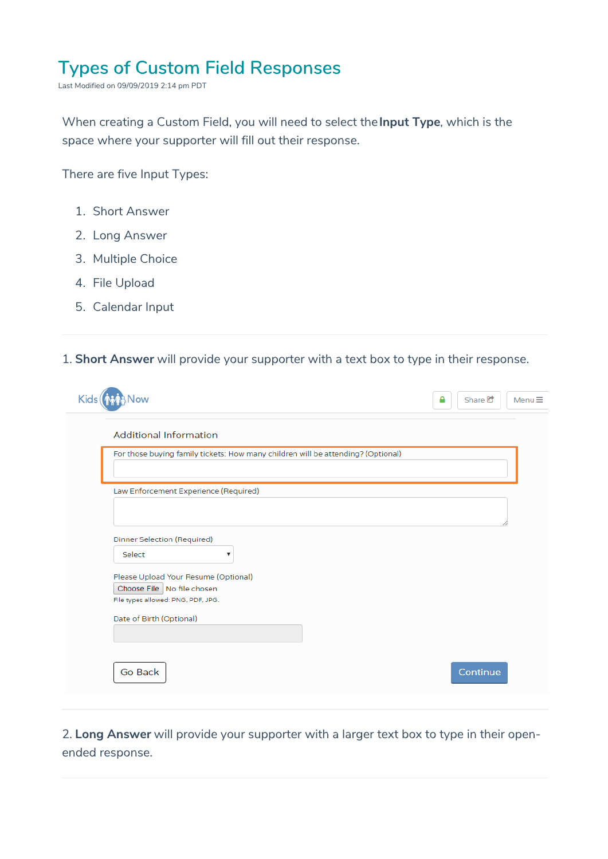## **Types of Custom Field Responses**

Last Modified on 09/09/2019 2:14 pm PDT

When creating a Custom Field, you will need to select the**Input Type**, which is the space where your supporter will fill out their response.

There are five Input Types:

- 1. Short Answer
- 2. Long Answer
- 3. Multiple Choice
- 4. File Upload
- 5. Calendar Input

## 1. **Short Answer** will provide your supporter with a text box to type in their response.

| <b>Additional Information</b>         |                                                                                  |  |
|---------------------------------------|----------------------------------------------------------------------------------|--|
|                                       | For those buying family tickets: How many children will be attending? (Optional) |  |
|                                       |                                                                                  |  |
| Law Enforcement Experience (Required) |                                                                                  |  |
|                                       |                                                                                  |  |
| Dinner Selection (Required)           |                                                                                  |  |
| Select                                | ۷                                                                                |  |
| Please Upload Your Resume (Optional)  |                                                                                  |  |
| Choose File No file chosen            |                                                                                  |  |
| File types allowed: PNG, PDF, JPG.    |                                                                                  |  |
| Date of Birth (Optional)              |                                                                                  |  |
|                                       |                                                                                  |  |

2. **Long Answer** will provide your supporter with a larger text box to type in their openended response.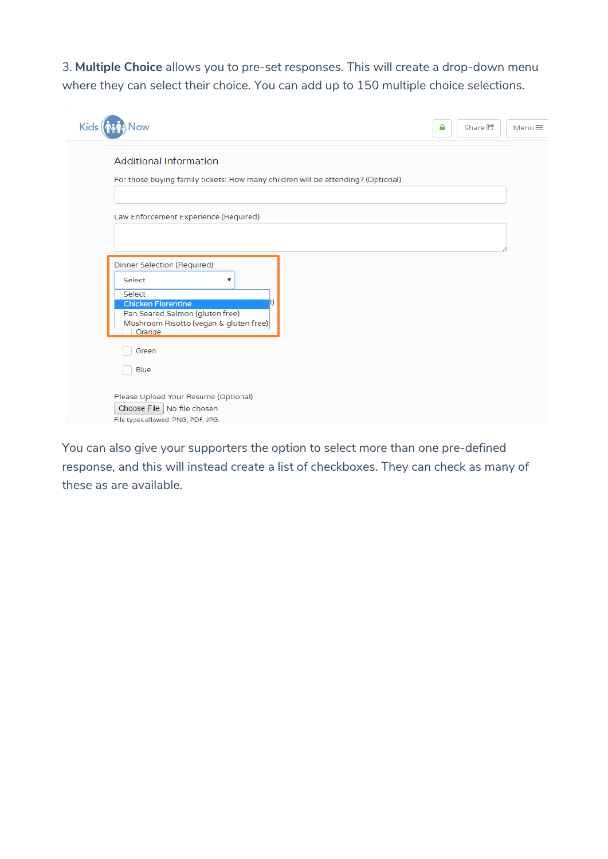3. **Multiple Choice** allows you to pre-set responses. This will create a drop-down menu where they can select their choice. You can add up to 150 multiple choice selections.

| Kids                                                                                                       | Share <sup>C</sup><br>Menu $\equiv$<br>Α |
|------------------------------------------------------------------------------------------------------------|------------------------------------------|
| <b>Additional Information</b>                                                                              |                                          |
| For those buying family tickets: How many children will be attending? (Optional)                           |                                          |
| Law Enforcement Experience (Required)                                                                      |                                          |
|                                                                                                            |                                          |
| Dinner Selection (Required)<br>Select<br>▼                                                                 |                                          |
| Select<br><b>Chicken Florentine</b>                                                                        |                                          |
| Pan Seared Salmon (gluten free)<br>Mushroom Risotto (vegan & gluten free)<br>Orange                        |                                          |
| Green                                                                                                      |                                          |
| Blue                                                                                                       |                                          |
| Please Upload Your Resume (Optional)<br>Choose File   No file chosen<br>File types allowed: PNG, PDF, JPG. |                                          |

You can also give your supporters the option to select more than one pre-defined response, and this will instead create a list of checkboxes. They can check as many of these as are available.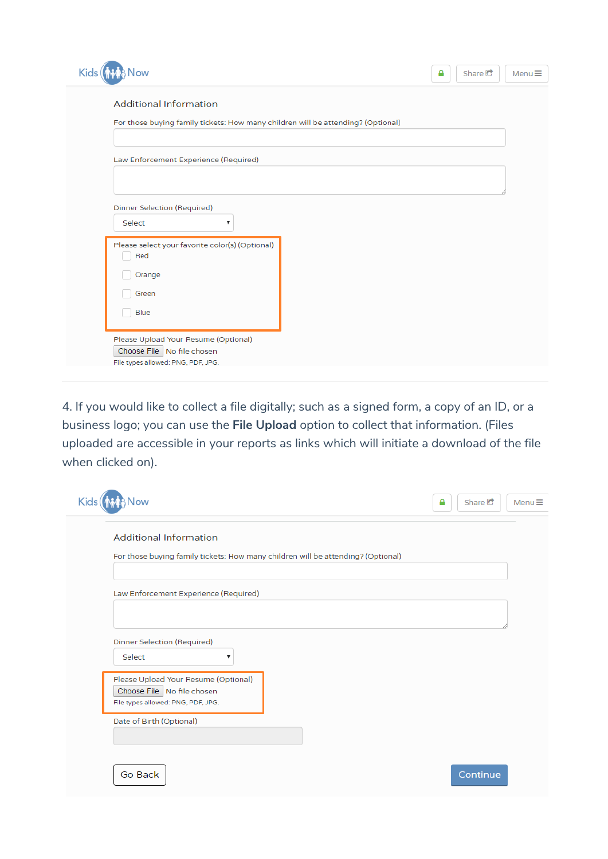| Kids <sup>(</sup><br><b>OW</b>                                                                                    | Share $\mathbb{C}$<br>Menu $\equiv$<br>Α |
|-------------------------------------------------------------------------------------------------------------------|------------------------------------------|
| <b>Additional Information</b><br>For those buying family tickets: How many children will be attending? (Optional) |                                          |
| Law Enforcement Experience (Required)                                                                             |                                          |
|                                                                                                                   |                                          |
| Dinner Selection (Required)<br>Select<br>$\boldsymbol{\mathrm{v}}$                                                |                                          |
| Please select your favorite color(s) (Optional)<br>Red<br>Orange                                                  |                                          |
| Green<br>Blue                                                                                                     |                                          |
| Please Upload Your Resume (Optional)<br>Choose File   No file chosen<br>File types allowed: PNG, PDF, JPG.        |                                          |

4. If you would like to collect a file digitally; such as a signed form, a copy of an ID, or a business logo; you can use the **File Upload** option to collect that information. (Files uploaded are accessible in your reports as links which will initiate a download of the file when clicked on).

| Kids(<br>Now                                                                                               | А | Share $\mathbb{C}$ | Menu $\equiv$ |
|------------------------------------------------------------------------------------------------------------|---|--------------------|---------------|
| <b>Additional Information</b>                                                                              |   |                    |               |
| For those buying family tickets: How many children will be attending? (Optional)                           |   |                    |               |
| Law Enforcement Experience (Required)                                                                      |   |                    |               |
|                                                                                                            |   |                    |               |
| Dinner Selection (Required)<br>Select<br>۷                                                                 |   |                    |               |
| Please Upload Your Resume (Optional)<br>Choose File   No file chosen<br>File types allowed: PNG, PDF, JPG. |   |                    |               |
| Date of Birth (Optional)                                                                                   |   |                    |               |
| Go Back                                                                                                    |   | Continue           |               |